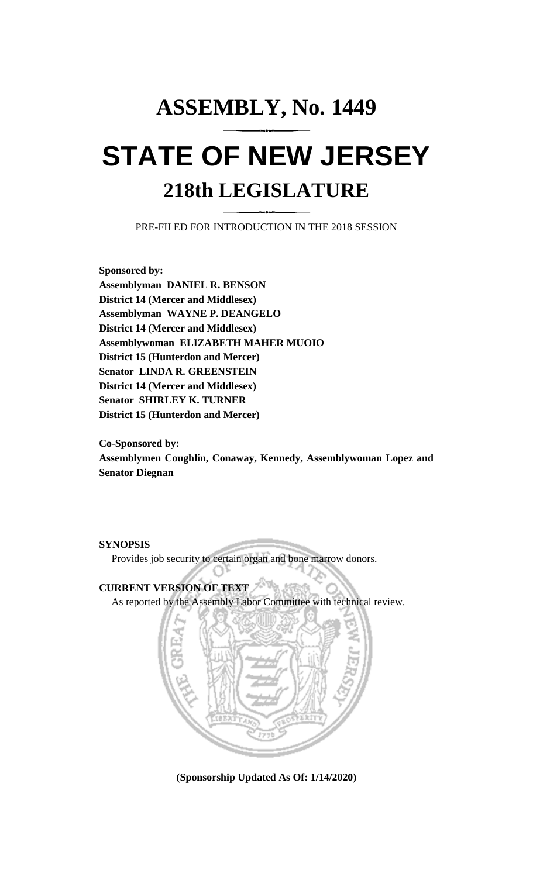## **ASSEMBLY, No. 1449 STATE OF NEW JERSEY 218th LEGISLATURE**

PRE-FILED FOR INTRODUCTION IN THE 2018 SESSION

**Sponsored by: Assemblyman DANIEL R. BENSON District 14 (Mercer and Middlesex) Assemblyman WAYNE P. DEANGELO District 14 (Mercer and Middlesex) Assemblywoman ELIZABETH MAHER MUOIO District 15 (Hunterdon and Mercer) Senator LINDA R. GREENSTEIN District 14 (Mercer and Middlesex) Senator SHIRLEY K. TURNER District 15 (Hunterdon and Mercer)**

**Co-Sponsored by: Assemblymen Coughlin, Conaway, Kennedy, Assemblywoman Lopez and Senator Diegnan**

**SYNOPSIS**

Provides job security to certain organ and bone marrow donors.

## **CURRENT VERSION OF TEXT**

As reported by the Assembly Labor Committee with technical review.



**(Sponsorship Updated As Of: 1/14/2020)**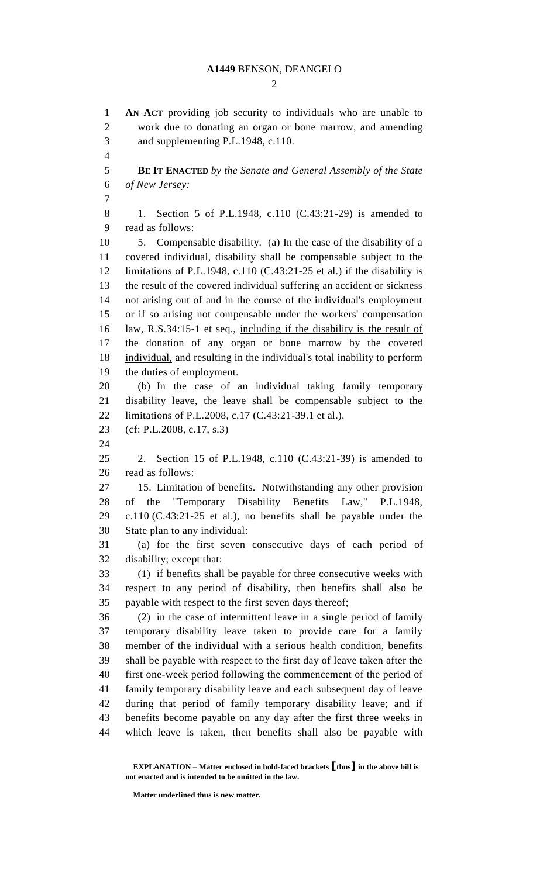## **A1449** BENSON, DEANGELO

 $\mathcal{D}_{\mathcal{L}}$ 

 **AN ACT** providing job security to individuals who are unable to work due to donating an organ or bone marrow, and amending and supplementing P.L.1948, c.110. **BE IT ENACTED** *by the Senate and General Assembly of the State of New Jersey:* 1. Section 5 of P.L.1948, c.110 (C.43:21-29) is amended to read as follows: 5. Compensable disability. (a) In the case of the disability of a covered individual, disability shall be compensable subject to the 12 limitations of P.L.1948, c.110 (C.43:21-25 et al.) if the disability is the result of the covered individual suffering an accident or sickness not arising out of and in the course of the individual's employment or if so arising not compensable under the workers' compensation law, R.S.34:15-1 et seq., including if the disability is the result of the donation of any organ or bone marrow by the covered individual, and resulting in the individual's total inability to perform the duties of employment. (b) In the case of an individual taking family temporary disability leave, the leave shall be compensable subject to the limitations of P.L.2008, c.17 (C.43:21-39.1 et al.). (cf: P.L.2008, c.17, s.3) 2. Section 15 of P.L.1948, c.110 (C.43:21-39) is amended to read as follows: 15. Limitation of benefits. Notwithstanding any other provision of the "Temporary Disability Benefits Law," P.L.1948, c.110 (C.43:21-25 et al.), no benefits shall be payable under the State plan to any individual: (a) for the first seven consecutive days of each period of disability; except that: (1) if benefits shall be payable for three consecutive weeks with respect to any period of disability, then benefits shall also be payable with respect to the first seven days thereof; (2) in the case of intermittent leave in a single period of family temporary disability leave taken to provide care for a family member of the individual with a serious health condition, benefits shall be payable with respect to the first day of leave taken after the first one-week period following the commencement of the period of family temporary disability leave and each subsequent day of leave during that period of family temporary disability leave; and if benefits become payable on any day after the first three weeks in which leave is taken, then benefits shall also be payable with

**Matter underlined thus is new matter.**

**EXPLANATION – Matter enclosed in bold-faced brackets [thus] in the above bill is not enacted and is intended to be omitted in the law.**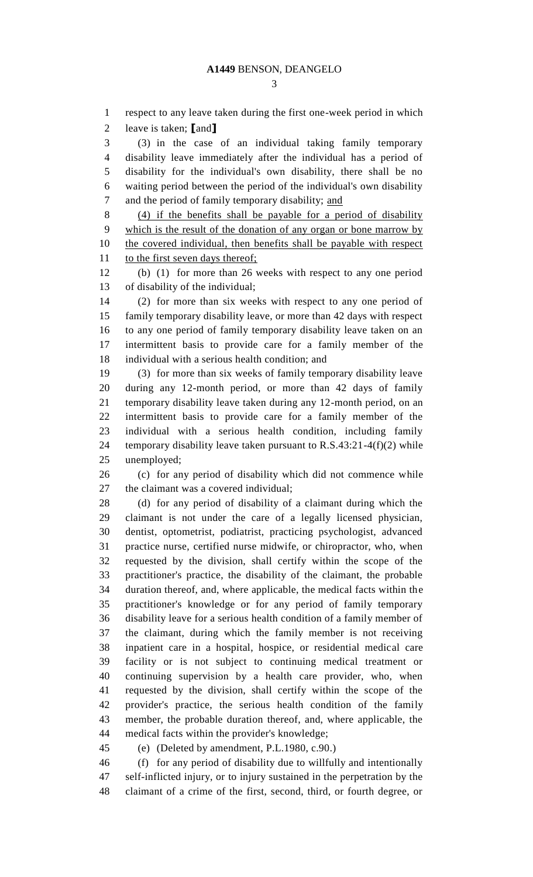respect to any leave taken during the first one-week period in which leave is taken; **[**and**]** (3) in the case of an individual taking family temporary disability leave immediately after the individual has a period of disability for the individual's own disability, there shall be no waiting period between the period of the individual's own disability and the period of family temporary disability; and (4) if the benefits shall be payable for a period of disability which is the result of the donation of any organ or bone marrow by the covered individual, then benefits shall be payable with respect 11 to the first seven days thereof; (b) (1) for more than 26 weeks with respect to any one period of disability of the individual; (2) for more than six weeks with respect to any one period of family temporary disability leave, or more than 42 days with respect to any one period of family temporary disability leave taken on an intermittent basis to provide care for a family member of the individual with a serious health condition; and (3) for more than six weeks of family temporary disability leave during any 12-month period, or more than 42 days of family temporary disability leave taken during any 12-month period, on an intermittent basis to provide care for a family member of the individual with a serious health condition, including family 24 temporary disability leave taken pursuant to R.S.43:21-4(f)(2) while unemployed; (c) for any period of disability which did not commence while 27 the claimant was a covered individual: (d) for any period of disability of a claimant during which the claimant is not under the care of a legally licensed physician, dentist, optometrist, podiatrist, practicing psychologist, advanced practice nurse, certified nurse midwife, or chiropractor, who, when requested by the division, shall certify within the scope of the practitioner's practice, the disability of the claimant, the probable duration thereof, and, where applicable, the medical facts within the practitioner's knowledge or for any period of family temporary disability leave for a serious health condition of a family member of the claimant, during which the family member is not receiving inpatient care in a hospital, hospice, or residential medical care facility or is not subject to continuing medical treatment or continuing supervision by a health care provider, who, when requested by the division, shall certify within the scope of the provider's practice, the serious health condition of the family member, the probable duration thereof, and, where applicable, the medical facts within the provider's knowledge; (e) (Deleted by amendment, P.L.1980, c.90.) (f) for any period of disability due to willfully and intentionally

 self-inflicted injury, or to injury sustained in the perpetration by the claimant of a crime of the first, second, third, or fourth degree, or